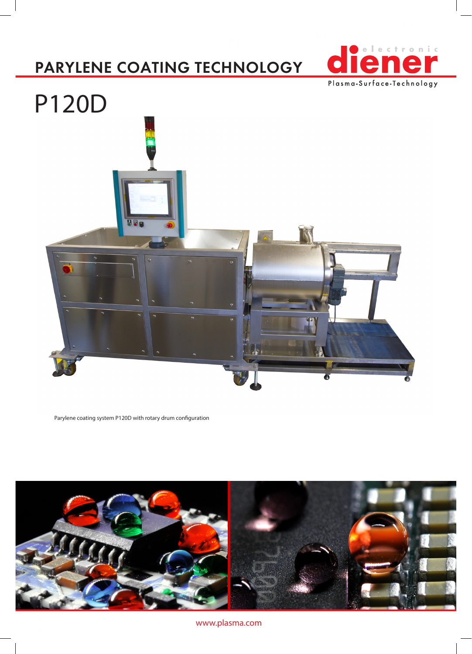## PARYLENE COATING TECHNOLOGY





Parylene coating system P120D with rotary drum configuration



www.plasma.com